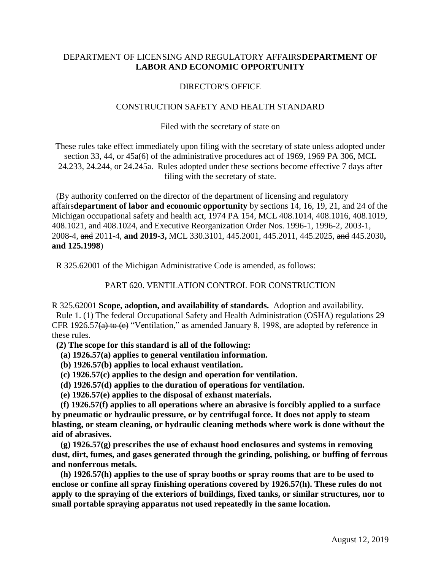## DEPARTMENT OF LICENSING AND REGULATORY AFFAIRS**DEPARTMENT OF LABOR AND ECONOMIC OPPORTUNITY**

## DIRECTOR'S OFFICE

## CONSTRUCTION SAFETY AND HEALTH STANDARD

Filed with the secretary of state on

These rules take effect immediately upon filing with the secretary of state unless adopted under section 33, 44, or 45a(6) of the administrative procedures act of 1969, 1969 PA 306, MCL 24.233, 24.244, or 24.245a. Rules adopted under these sections become effective 7 days after filing with the secretary of state.

 (By authority conferred on the director of the department of licensing and regulatory affairs**department of labor and economic opportunity** by sections 14, 16, 19, 21, and 24 of the Michigan occupational safety and health act, 1974 PA 154, MCL 408.1014, 408.1016, 408.1019, 408.1021, and 408.1024, and Executive Reorganization Order Nos. 1996-1, 1996-2, 2003-1, 2008-4, and 2011-4, **and 2019-3,** MCL 330.3101, 445.2001, 445.2011, 445.2025, and 445.2030**, and 125.1998**)

R 325.62001 of the Michigan Administrative Code is amended, as follows:

PART 620. VENTILATION CONTROL FOR CONSTRUCTION

R 325.62001 **Scope, adoption, and availability of standards.** Adoption and availability. Rule 1. (1) The federal Occupational Safety and Health Administration (OSHA) regulations 29 CFR 1926.57(a) to (e) "Ventilation," as amended January 8, 1998, are adopted by reference in these rules.

 **(2) The scope for this standard is all of the following:**

 **(a) 1926.57(a) applies to general ventilation information.**

 **(b) 1926.57(b) applies to local exhaust ventilation.**

 **(c) 1926.57(c) applies to the design and operation for ventilation.**

 **(d) 1926.57(d) applies to the duration of operations for ventilation.**

 **(e) 1926.57(e) applies to the disposal of exhaust materials.**

 **(f) 1926.57(f) applies to all operations where an abrasive is forcibly applied to a surface by pneumatic or hydraulic pressure, or by centrifugal force. It does not apply to steam blasting, or steam cleaning, or hydraulic cleaning methods where work is done without the aid of abrasives.**

 **(g) 1926.57(g) prescribes the use of exhaust hood enclosures and systems in removing dust, dirt, fumes, and gases generated through the grinding, polishing, or buffing of ferrous and nonferrous metals.**

 **(h) 1926.57(h) applies to the use of spray booths or spray rooms that are to be used to enclose or confine all spray finishing operations covered by 1926.57(h). These rules do not apply to the spraying of the exteriors of buildings, fixed tanks, or similar structures, nor to small portable spraying apparatus not used repeatedly in the same location.**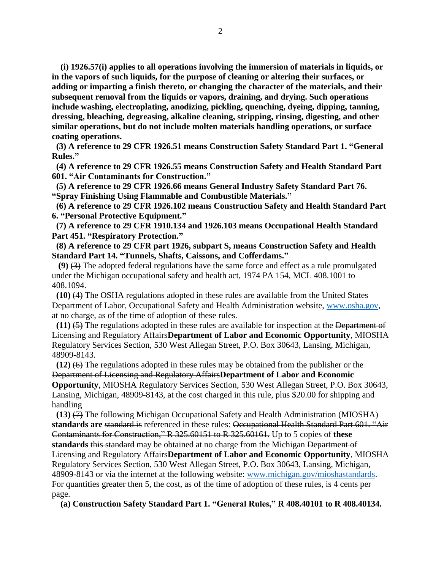**(i) 1926.57(i) applies to all operations involving the immersion of materials in liquids, or in the vapors of such liquids, for the purpose of cleaning or altering their surfaces, or adding or imparting a finish thereto, or changing the character of the materials, and their subsequent removal from the liquids or vapors, draining, and drying. Such operations include washing, electroplating, anodizing, pickling, quenching, dyeing, dipping, tanning, dressing, bleaching, degreasing, alkaline cleaning, stripping, rinsing, digesting, and other similar operations, but do not include molten materials handling operations, or surface coating operations.**

 **(3) A reference to 29 CFR 1926.51 means Construction Safety Standard Part 1. "General Rules."**

 **(4) A reference to 29 CFR 1926.55 means Construction Safety and Health Standard Part 601. "Air Contaminants for Construction."**

 **(5) A reference to 29 CFR 1926.66 means General Industry Safety Standard Part 76. "Spray Finishing Using Flammable and Combustible Materials."**

 **(6) A reference to 29 CFR 1926.102 means Construction Safety and Health Standard Part 6. "Personal Protective Equipment."**

 **(7) A reference to 29 CFR 1910.134 and 1926.103 means Occupational Health Standard Part 451. "Respiratory Protection."**

 **(8) A reference to 29 CFR part 1926, subpart S, means Construction Safety and Health Standard Part 14. "Tunnels, Shafts, Caissons, and Cofferdams."**

 **(9)** (3) The adopted federal regulations have the same force and effect as a rule promulgated under the Michigan occupational safety and health act, 1974 PA 154, MCL 408.1001 to 408.1094.

 **(10)** (4) The OSHA regulations adopted in these rules are available from the United States Department of Labor, Occupational Safety and Health Administration website, [www.osha.gov,](http://www.osha.gov/) at no charge, as of the time of adoption of these rules.

 **(11)** (5) The regulations adopted in these rules are available for inspection at the Department of Licensing and Regulatory Affairs**Department of Labor and Economic Opportunity**, MIOSHA Regulatory Services Section, 530 West Allegan Street, P.O. Box 30643, Lansing, Michigan, 48909-8143.

**(12)**  $(6)$  The regulations adopted in these rules may be obtained from the publisher or the Department of Licensing and Regulatory Affairs**Department of Labor and Economic** 

**Opportunity**, MIOSHA Regulatory Services Section, 530 West Allegan Street, P.O. Box 30643, Lansing, Michigan, 48909-8143, at the cost charged in this rule, plus \$20.00 for shipping and handling

 **(13)** (7) The following Michigan Occupational Safety and Health Administration (MIOSHA) **standards are** standard is referenced in these rules: Occupational Health Standard Part 601. "Air Contaminants for Construction," R 325.60151 to R 325.60161. Up to 5 copies of **these standards** this standard may be obtained at no charge from the Michigan Department of Licensing and Regulatory Affairs**Department of Labor and Economic Opportunity**, MIOSHA Regulatory Services Section, 530 West Allegan Street, P.O. Box 30643, Lansing, Michigan, 48909-8143 or via the internet at the following website: [www.michigan.gov/mioshastandards.](http://www.michigan.gov/mioshastandards) For quantities greater then 5, the cost, as of the time of adoption of these rules, is 4 cents per page.

 **(a) Construction Safety Standard Part 1. "General Rules," R 408.40101 to R 408.40134.**